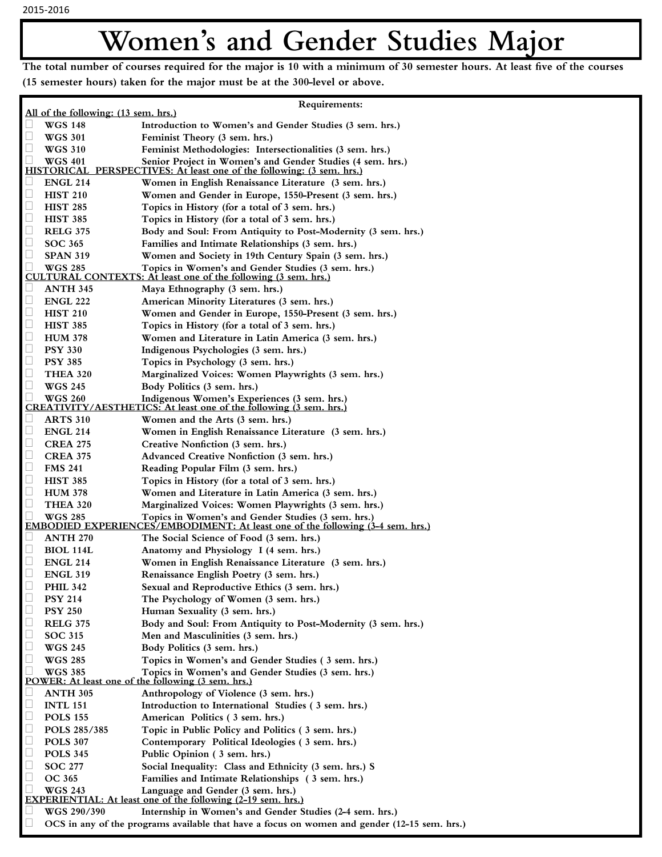## Women's and Gender Studies Major

The total number of courses required for the major is 10 with a minimum of 30 semester hours. At least five of the courses (15 semester hours) taken for the major must be at the 300-level or above.

| Requirements:                                                                                     |                                                                                                                                             |
|---------------------------------------------------------------------------------------------------|---------------------------------------------------------------------------------------------------------------------------------------------|
| All of the following: (13 sem. hrs.)                                                              |                                                                                                                                             |
| $\Box$<br><b>WGS 148</b>                                                                          | Introduction to Women's and Gender Studies (3 sem. hrs.)                                                                                    |
| $\Box$<br><b>WGS 301</b>                                                                          | Feminist Theory (3 sem. hrs.)                                                                                                               |
| $\Box$<br><b>WGS 310</b>                                                                          | Feminist Methodologies: Intersectionalities (3 sem. hrs.)                                                                                   |
| $\overline{\phantom{a}}$<br><b>WGS 401</b>                                                        | Senior Project in Women's and Gender Studies (4 sem. hrs.)<br><b>HISTORICAL PERSPECTIVES: At least one of the following: (3 sem. hrs.)</b>  |
| $\Box$<br><b>ENGL 214</b>                                                                         | Women in English Renaissance Literature (3 sem. hrs.)                                                                                       |
| $\Box$<br><b>HIST 210</b>                                                                         | Women and Gender in Europe, 1550-Present (3 sem. hrs.)                                                                                      |
| $\Box$<br><b>HIST 285</b>                                                                         | Topics in History (for a total of 3 sem. hrs.)                                                                                              |
| $\Box$<br><b>HIST 385</b>                                                                         | Topics in History (for a total of 3 sem. hrs.)                                                                                              |
| L<br><b>RELG 375</b>                                                                              | Body and Soul: From Antiquity to Post-Modernity (3 sem. hrs.)                                                                               |
| $\Box$<br><b>SOC 365</b>                                                                          | Families and Intimate Relationships (3 sem. hrs.)                                                                                           |
| $\Box$<br><b>SPAN 319</b>                                                                         | Women and Society in 19th Century Spain (3 sem. hrs.)                                                                                       |
| □<br><b>WGS 285</b>                                                                               | Topics in Women's and Gender Studies (3 sem. hrs.)<br><b>CULTURAL CONTEXTS: At least one of the following (3 sem. hrs.)</b>                 |
| $\Box$<br><b>ANTH 345</b>                                                                         | Maya Ethnography (3 sem. hrs.)                                                                                                              |
| $\Box$<br><b>ENGL 222</b>                                                                         | American Minority Literatures (3 sem. hrs.)                                                                                                 |
| $\Box$<br><b>HIST 210</b>                                                                         | Women and Gender in Europe, 1550-Present (3 sem. hrs.)                                                                                      |
| $\Box$<br><b>HIST 385</b>                                                                         | Topics in History (for a total of 3 sem. hrs.)                                                                                              |
| $\Box$<br><b>HUM 378</b>                                                                          | Women and Literature in Latin America (3 sem. hrs.)                                                                                         |
| $\Box$<br><b>PSY 330</b>                                                                          | Indigenous Psychologies (3 sem. hrs.)                                                                                                       |
| $\Box$<br><b>PSY 385</b>                                                                          | Topics in Psychology (3 sem. hrs.)                                                                                                          |
| $\Box$<br><b>THEA 320</b>                                                                         | Marginalized Voices: Women Playwrights (3 sem. hrs.)                                                                                        |
| $\Box$<br><b>WGS 245</b>                                                                          | Body Politics (3 sem. hrs.)                                                                                                                 |
| C<br><b>WGS 260</b>                                                                               | Indigenous Women's Experiences (3 sem. hrs.)<br><b>CREATIVITY/AESTHETICS:</b> At least one of the following (3 sem. hrs.)                   |
| <b>ARTS 310</b><br>$\sqcup$                                                                       | Women and the Arts (3 sem. hrs.)                                                                                                            |
| $\Box$<br><b>ENGL 214</b>                                                                         | Women in English Renaissance Literature (3 sem. hrs.)                                                                                       |
| $\Box$<br><b>CREA 275</b>                                                                         | Creative Nonfiction (3 sem. hrs.)                                                                                                           |
| $\Box$<br><b>CREA 375</b>                                                                         | <b>Advanced Creative Nonfiction (3 sem. hrs.)</b>                                                                                           |
| $\Box$<br><b>FMS 241</b>                                                                          | Reading Popular Film (3 sem. hrs.)                                                                                                          |
| $\Box$<br><b>HIST 385</b>                                                                         | Topics in History (for a total of 3 sem. hrs.)                                                                                              |
| $\Box$<br><b>HUM 378</b>                                                                          | Women and Literature in Latin America (3 sem. hrs.)                                                                                         |
| $\Box$<br><b>THEA 320</b>                                                                         | Marginalized Voices: Women Playwrights (3 sem. hrs.)                                                                                        |
| $\Box$<br><b>WGS 285</b>                                                                          | Topics in Women's and Gender Studies (3 sem. hrs.)<br><b>EMBODIED EXPERIENCES/EMBODIMENT:</b> At least one of the following (3-4 sem. hrs.) |
| <b>ANTH 270</b><br>$\sqcup$                                                                       | The Social Science of Food (3 sem. hrs.)                                                                                                    |
| $\Box$<br><b>BIOL 114L</b>                                                                        | Anatomy and Physiology I (4 sem. hrs.)                                                                                                      |
| ⊔<br><b>ENGL 214</b>                                                                              | Women in English Renaissance Literature (3 sem. hrs.)                                                                                       |
| $\Box$<br><b>ENGL 319</b>                                                                         | Renaissance English Poetry (3 sem. hrs.)                                                                                                    |
| <b>PHIL 342</b>                                                                                   | Sexual and Reproductive Ethics (3 sem. hrs.)                                                                                                |
| $\Box$<br><b>PSY 214</b>                                                                          | The Psychology of Women (3 sem. hrs.)                                                                                                       |
| $\Box$<br><b>PSY 250</b>                                                                          | Human Sexuality (3 sem. hrs.)                                                                                                               |
| $\Box$<br><b>RELG 375</b>                                                                         | Body and Soul: From Antiquity to Post-Modernity (3 sem. hrs.)                                                                               |
| $\Box$<br><b>SOC 315</b>                                                                          | Men and Masculinities (3 sem. hrs.)                                                                                                         |
| $\Box$<br><b>WGS 245</b>                                                                          | Body Politics (3 sem. hrs.)                                                                                                                 |
| $\Box$<br><b>WGS 285</b>                                                                          | Topics in Women's and Gender Studies (3 sem. hrs.)                                                                                          |
| <b>WGS 385</b>                                                                                    | Topics in Women's and Gender Studies (3 sem. hrs.)<br>POWER: At least one of the following (3 sem. hrs.)                                    |
| <b>ANTH 305</b><br>$\Box$                                                                         | Anthropology of Violence (3 sem. hrs.)                                                                                                      |
| Ц<br><b>INTL 151</b>                                                                              | Introduction to International Studies (3 sem. hrs.)                                                                                         |
| $\Box$<br><b>POLS 155</b>                                                                         | American Politics (3 sem. hrs.)                                                                                                             |
| $\Box$<br>POLS 285/385                                                                            | Topic in Public Policy and Politics (3 sem. hrs.)                                                                                           |
| $\Box$<br><b>POLS 307</b>                                                                         | Contemporary Political Ideologies (3 sem. hrs.)                                                                                             |
| $\Box$<br><b>POLS 345</b>                                                                         | Public Opinion (3 sem. hrs.)                                                                                                                |
| $\Box$<br><b>SOC 277</b>                                                                          | Social Inequality: Class and Ethnicity (3 sem. hrs.) S                                                                                      |
| $\Box$<br><b>OC 365</b>                                                                           | Families and Intimate Relationships (3 sem. hrs.)                                                                                           |
| u<br><b>WGS 243</b>                                                                               | Language and Gender (3 sem. hrs.)<br><b>EXPERIENTIAL:</b> At least one of the following (2-19 sem. hrs.)                                    |
| WGS 290/390<br>$\sqcup$                                                                           | Internship in Women's and Gender Studies (2-4 sem. hrs.)                                                                                    |
| OCS in any of the programs available that have a focus on women and gender (12-15 sem. hrs.)<br>Ц |                                                                                                                                             |